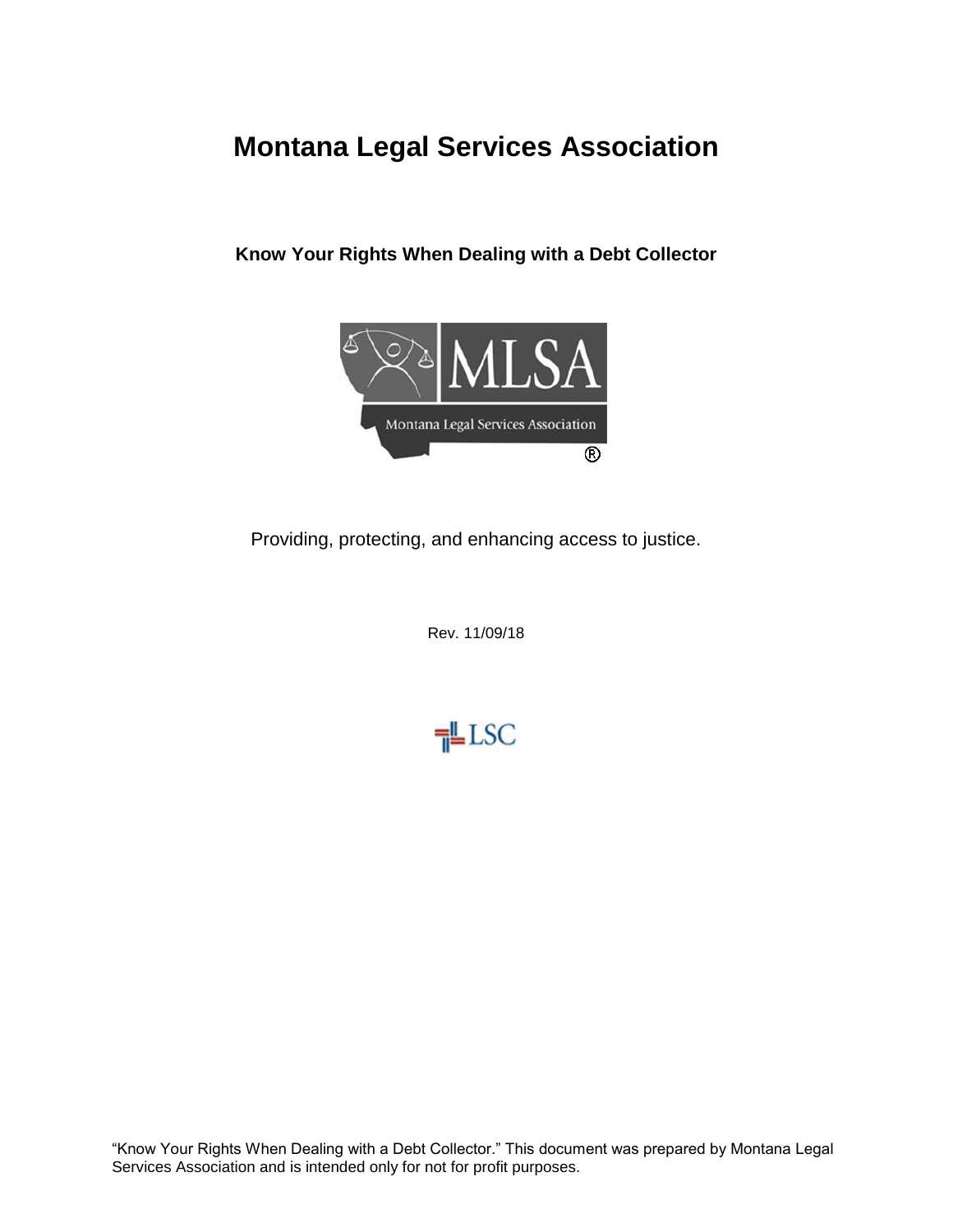# **Montana Legal Services Association**

**Know Your Rights When Dealing with a Debt Collector**



Providing, protecting, and enhancing access to justice.

Rev. 11/09/18



"Know Your Rights When Dealing with a Debt Collector." This document was prepared by Montana Legal Services Association and is intended only for not for profit purposes.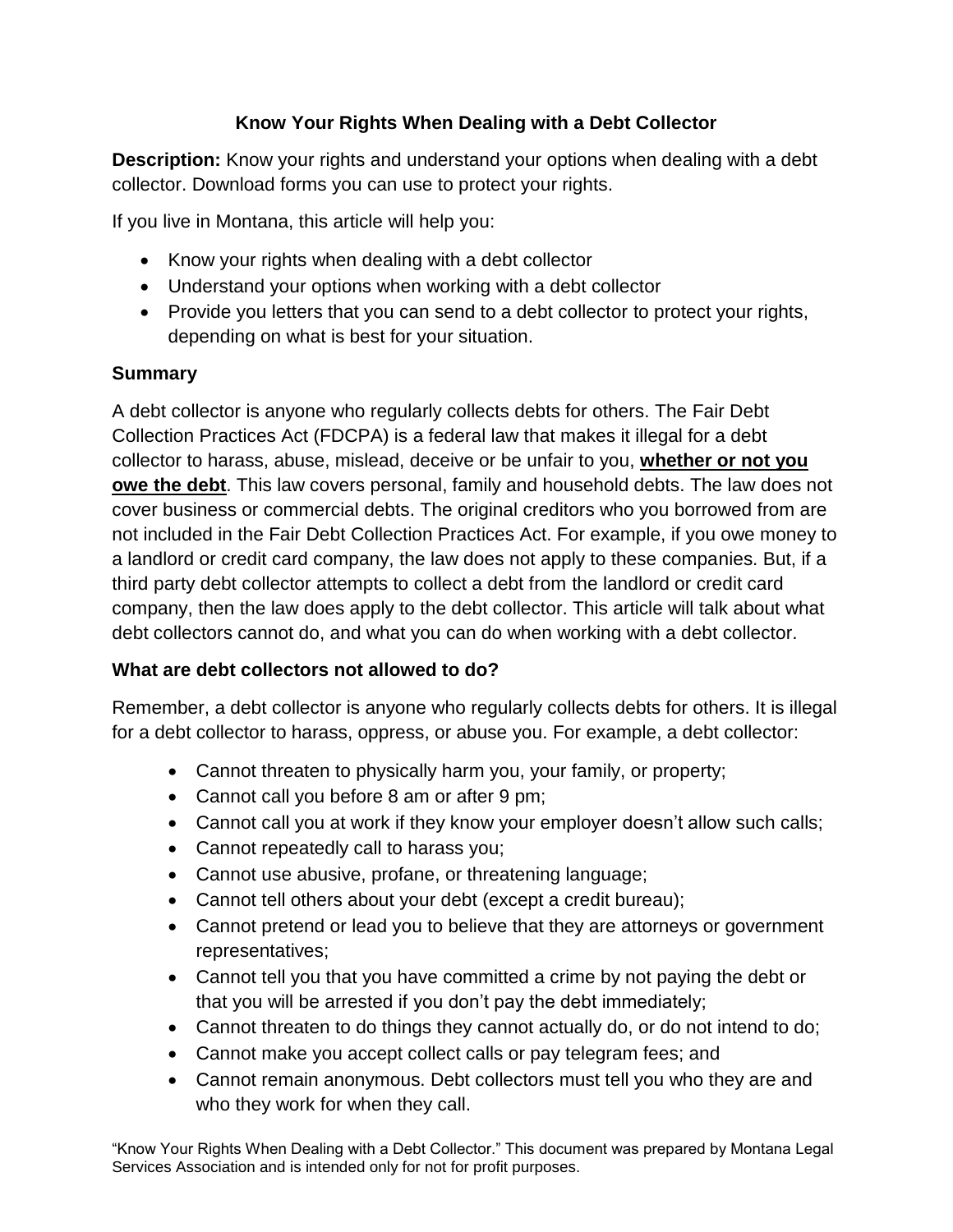# **Know Your Rights When Dealing with a Debt Collector**

**Description:** Know your rights and understand your options when dealing with a debt collector. Download forms you can use to protect your rights.

If you live in Montana, this article will help you:

- Know your rights when dealing with a debt collector
- Understand your options when working with a debt collector
- Provide you letters that you can send to a debt collector to protect your rights, depending on what is best for your situation.

### **Summary**

A debt collector is anyone who regularly collects debts for others. The Fair Debt Collection Practices Act (FDCPA) is a federal law that makes it illegal for a debt collector to harass, abuse, mislead, deceive or be unfair to you, **whether or not you owe the debt**. This law covers personal, family and household debts. The law does not cover business or commercial debts. The original creditors who you borrowed from are not included in the Fair Debt Collection Practices Act. For example, if you owe money to a landlord or credit card company, the law does not apply to these companies. But, if a third party debt collector attempts to collect a debt from the landlord or credit card company, then the law does apply to the debt collector. This article will talk about what debt collectors cannot do, and what you can do when working with a debt collector.

# **What are debt collectors not allowed to do?**

Remember, a debt collector is anyone who regularly collects debts for others. It is illegal for a debt collector to harass, oppress, or abuse you. For example, a debt collector:

- Cannot threaten to physically harm you, your family, or property;
- Cannot call you before 8 am or after 9 pm;
- Cannot call you at work if they know your employer doesn't allow such calls;
- Cannot repeatedly call to harass you;
- Cannot use abusive, profane, or threatening language;
- Cannot tell others about your debt (except a credit bureau);
- Cannot pretend or lead you to believe that they are attorneys or government representatives;
- Cannot tell you that you have committed a crime by not paying the debt or that you will be arrested if you don't pay the debt immediately;
- Cannot threaten to do things they cannot actually do, or do not intend to do;
- Cannot make you accept collect calls or pay telegram fees; and
- Cannot remain anonymous. Debt collectors must tell you who they are and who they work for when they call.

"Know Your Rights When Dealing with a Debt Collector." This document was prepared by Montana Legal Services Association and is intended only for not for profit purposes.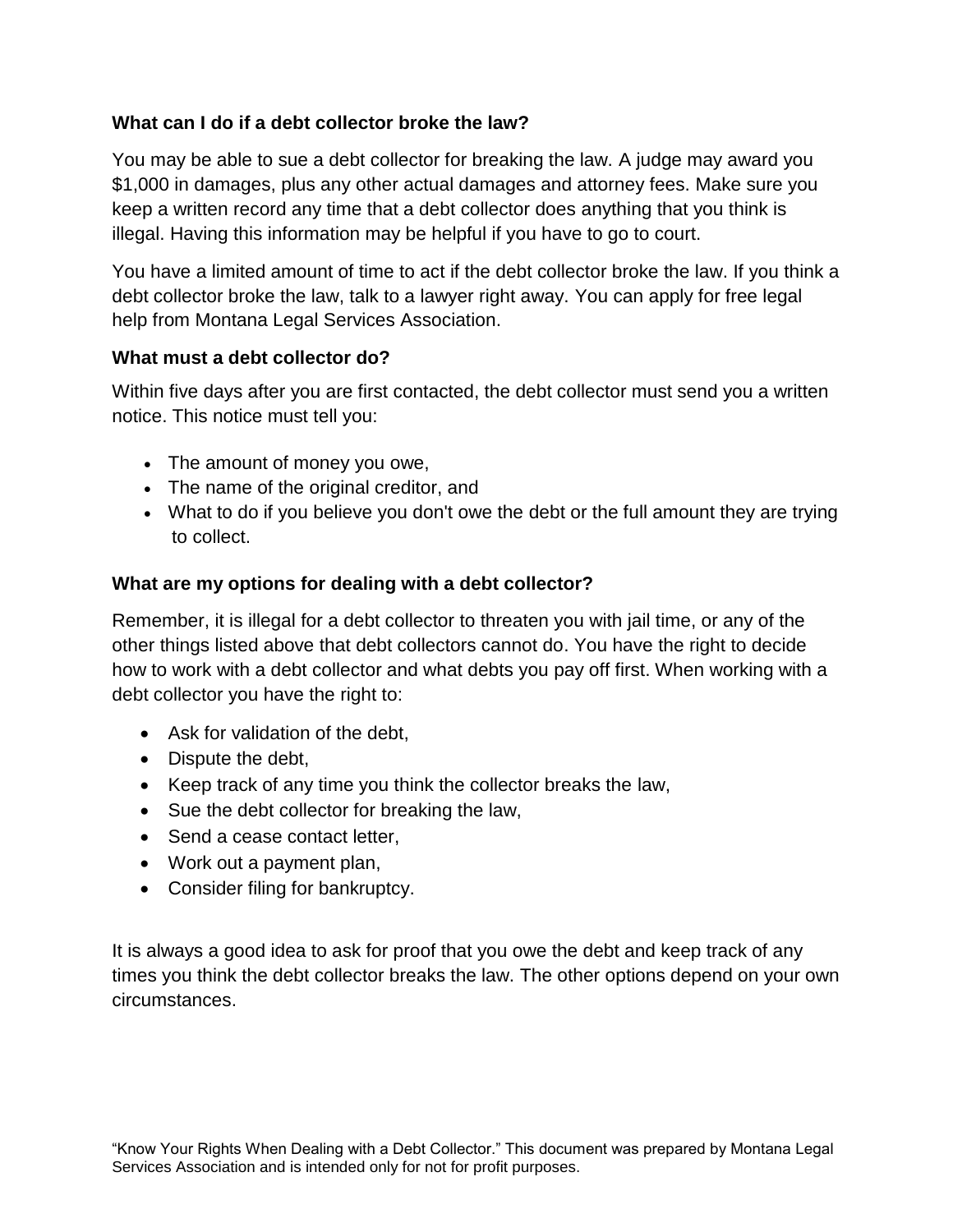#### **What can I do if a debt collector broke the law?**

You may be able to sue a debt collector for breaking the law. A judge may award you \$1,000 in damages, plus any other actual damages and attorney fees. Make sure you keep a written record any time that a debt collector does anything that you think is illegal. Having this information may be helpful if you have to go to court.

You have a limited amount of time to act if the debt collector broke the law. If you think a debt collector broke the law, talk to a lawyer right away. You can apply for free legal help from Montana Legal Services Association.

#### **What must a debt collector do?**

Within five days after you are first contacted, the debt collector must send you a written notice. This notice must tell you:

- The amount of money you owe,
- The name of the original creditor, and
- What to do if you believe you don't owe the debt or the full amount they are trying to collect.

#### **What are my options for dealing with a debt collector?**

Remember, it is illegal for a debt collector to threaten you with jail time, or any of the other things listed above that debt collectors cannot do. You have the right to decide how to work with a debt collector and what debts you pay off first. When working with a debt collector you have the right to:

- Ask for validation of the debt,
- Dispute the debt,
- Keep track of any time you think the collector breaks the law,
- Sue the debt collector for breaking the law,
- Send a cease contact letter,
- Work out a payment plan,
- Consider filing for bankruptcy.

It is always a good idea to ask for proof that you owe the debt and keep track of any times you think the debt collector breaks the law. The other options depend on your own circumstances.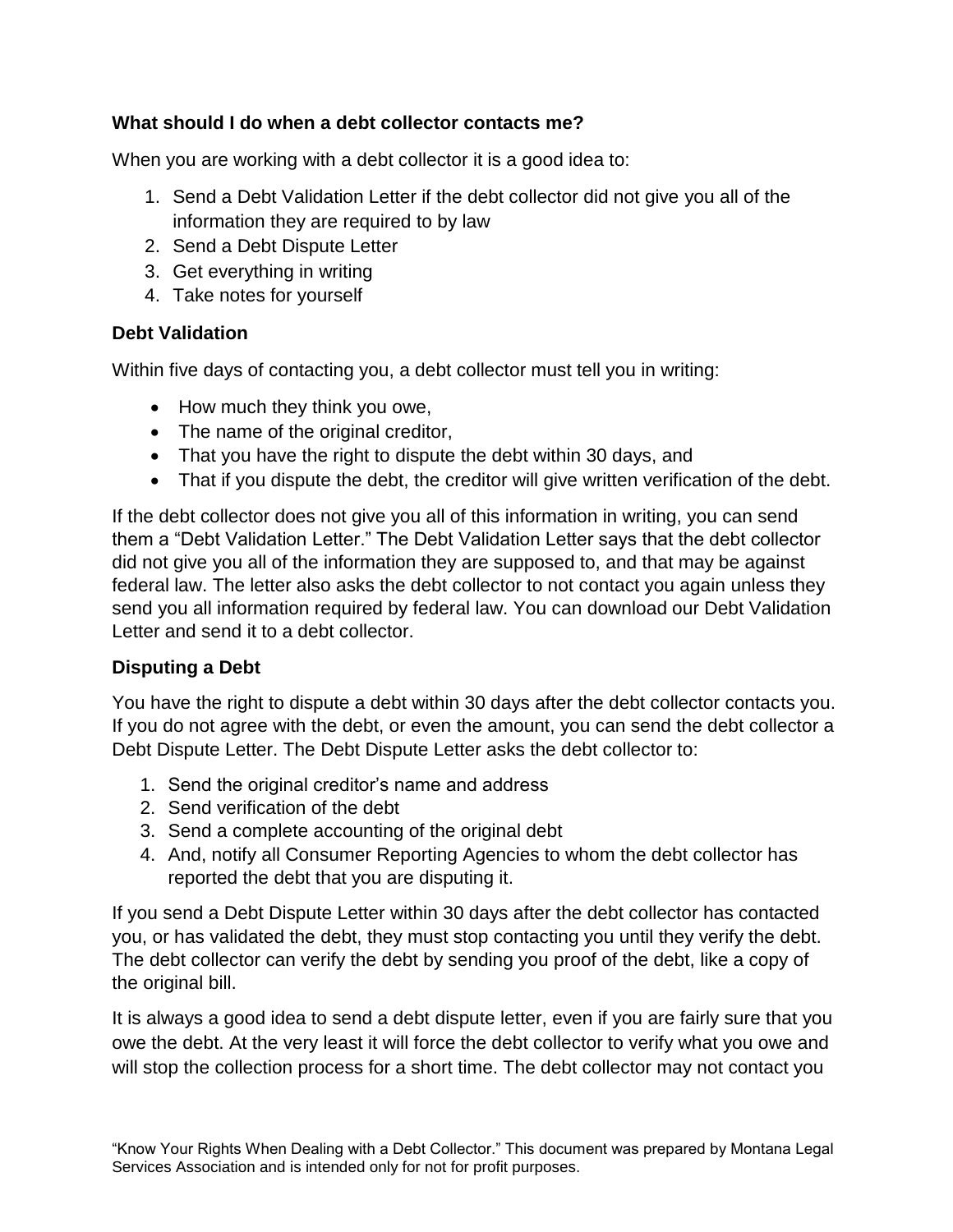### **What should I do when a debt collector contacts me?**

When you are working with a debt collector it is a good idea to:

- 1. Send a Debt Validation Letter if the debt collector did not give you all of the information they are required to by law
- 2. Send a Debt Dispute Letter
- 3. Get everything in writing
- 4. Take notes for yourself

### **Debt Validation**

Within five days of contacting you, a debt collector must tell you in writing:

- How much they think you owe,
- The name of the original creditor,
- That you have the right to dispute the debt within 30 days, and
- That if you dispute the debt, the creditor will give written verification of the debt.

If the debt collector does not give you all of this information in writing, you can send them a "Debt Validation Letter." The Debt Validation Letter says that the debt collector did not give you all of the information they are supposed to, and that may be against federal law. The letter also asks the debt collector to not contact you again unless they send you all information required by federal law. You can download our Debt Validation Letter and send it to a debt collector.

# **Disputing a Debt**

You have the right to dispute a debt within 30 days after the debt collector contacts you. If you do not agree with the debt, or even the amount, you can send the debt collector a Debt Dispute Letter. The Debt Dispute Letter asks the debt collector to:

- 1. Send the original creditor's name and address
- 2. Send verification of the debt
- 3. Send a complete accounting of the original debt
- 4. And, notify all Consumer Reporting Agencies to whom the debt collector has reported the debt that you are disputing it.

If you send a Debt Dispute Letter within 30 days after the debt collector has contacted you, or has validated the debt, they must stop contacting you until they verify the debt. The debt collector can verify the debt by sending you proof of the debt, like a copy of the original bill.

It is always a good idea to send a debt dispute letter, even if you are fairly sure that you owe the debt. At the very least it will force the debt collector to verify what you owe and will stop the collection process for a short time. The debt collector may not contact you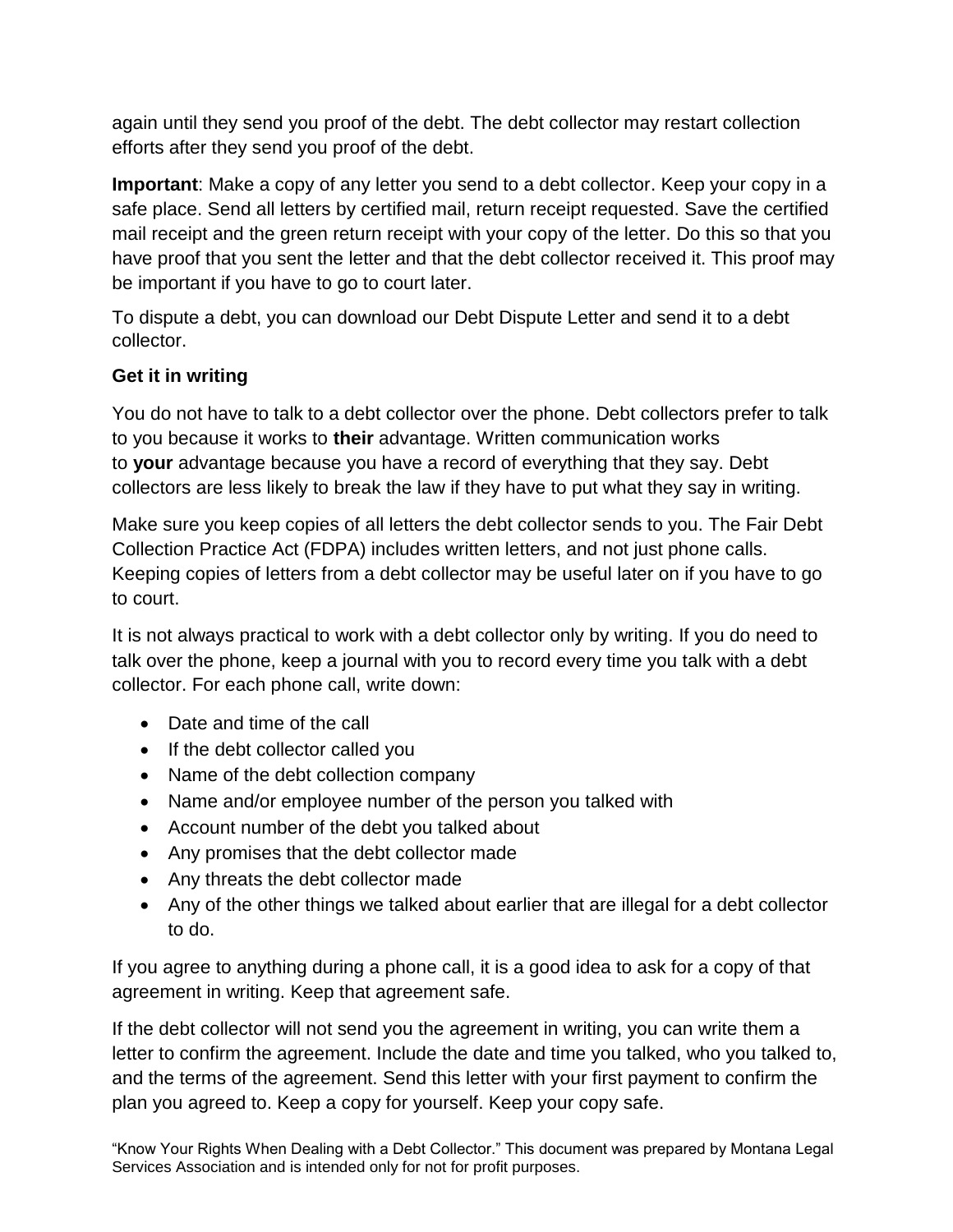again until they send you proof of the debt. The debt collector may restart collection efforts after they send you proof of the debt.

**Important**: Make a copy of any letter you send to a debt collector. Keep your copy in a safe place. Send all letters by certified mail, return receipt requested. Save the certified mail receipt and the green return receipt with your copy of the letter. Do this so that you have proof that you sent the letter and that the debt collector received it. This proof may be important if you have to go to court later.

To dispute a debt, you can download our Debt Dispute Letter and send it to a debt collector.

# **Get it in writing**

You do not have to talk to a debt collector over the phone. Debt collectors prefer to talk to you because it works to **their** advantage. Written communication works to **your** advantage because you have a record of everything that they say. Debt collectors are less likely to break the law if they have to put what they say in writing.

Make sure you keep copies of all letters the debt collector sends to you. The Fair Debt Collection Practice Act (FDPA) includes written letters, and not just phone calls. Keeping copies of letters from a debt collector may be useful later on if you have to go to court.

It is not always practical to work with a debt collector only by writing. If you do need to talk over the phone, keep a journal with you to record every time you talk with a debt collector. For each phone call, write down:

- Date and time of the call
- If the debt collector called you
- Name of the debt collection company
- Name and/or employee number of the person you talked with
- Account number of the debt you talked about
- Any promises that the debt collector made
- Any threats the debt collector made
- Any of the other things we talked about earlier that are illegal for a debt collector to do.

If you agree to anything during a phone call, it is a good idea to ask for a copy of that agreement in writing. Keep that agreement safe.

If the debt collector will not send you the agreement in writing, you can write them a letter to confirm the agreement. Include the date and time you talked, who you talked to, and the terms of the agreement. Send this letter with your first payment to confirm the plan you agreed to. Keep a copy for yourself. Keep your copy safe.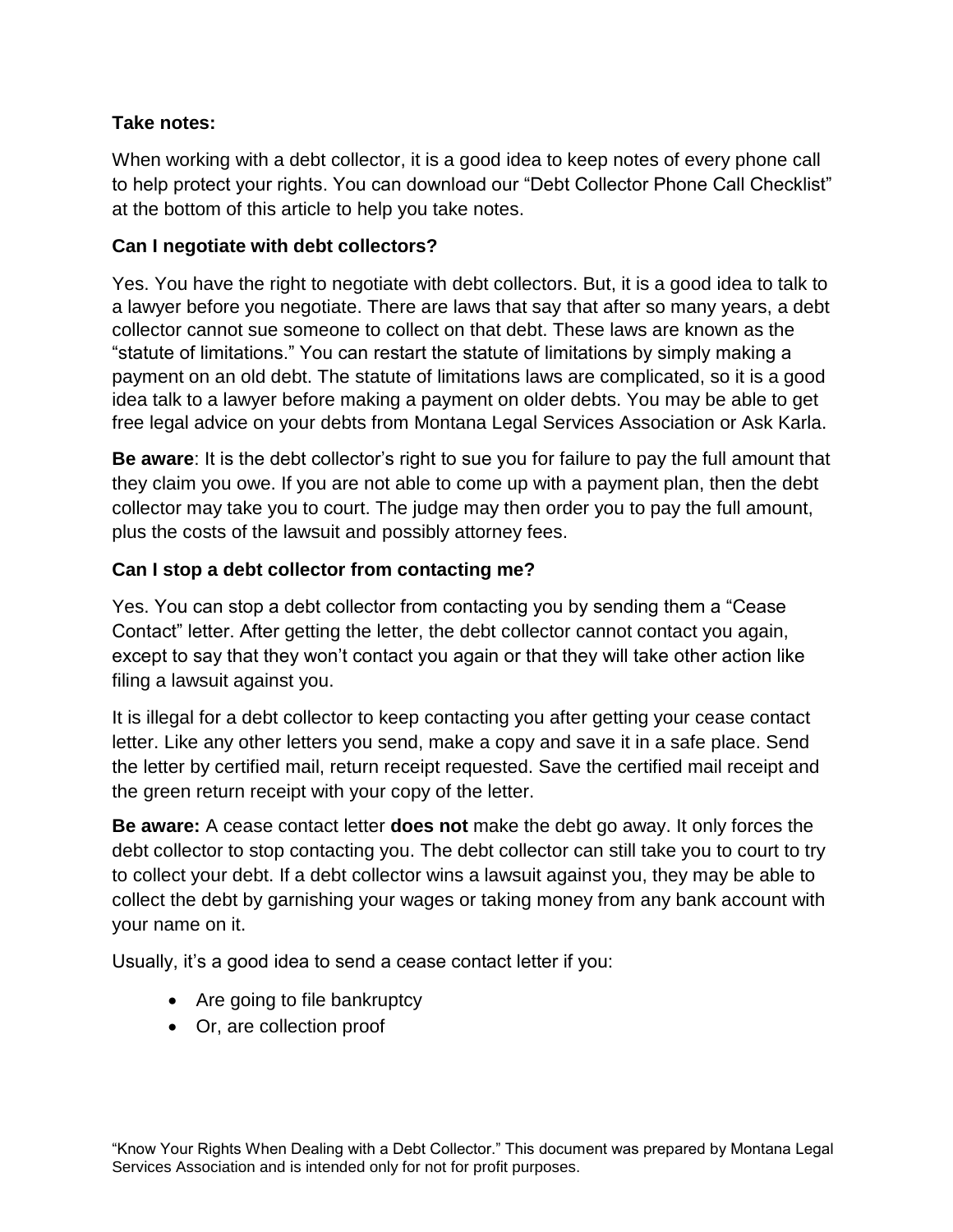### **Take notes:**

When working with a debt collector, it is a good idea to keep notes of every phone call to help protect your rights. You can download our "Debt Collector Phone Call Checklist" at the bottom of this article to help you take notes.

### **Can I negotiate with debt collectors?**

Yes. You have the right to negotiate with debt collectors. But, it is a good idea to talk to a lawyer before you negotiate. There are laws that say that after so many years, a debt collector cannot sue someone to collect on that debt. These laws are known as the "statute of limitations." You can restart the statute of limitations by simply making a payment on an old debt. The statute of limitations laws are complicated, so it is a good idea talk to a lawyer before making a payment on older debts. You may be able to get free legal advice on your debts from Montana Legal Services Association or Ask Karla.

**Be aware**: It is the debt collector's right to sue you for failure to pay the full amount that they claim you owe. If you are not able to come up with a payment plan, then the debt collector may take you to court. The judge may then order you to pay the full amount, plus the costs of the lawsuit and possibly attorney fees.

### **Can I stop a debt collector from contacting me?**

Yes. You can stop a debt collector from contacting you by sending them a "Cease Contact" letter. After getting the letter, the debt collector cannot contact you again, except to say that they won't contact you again or that they will take other action like filing a lawsuit against you.

It is illegal for a debt collector to keep contacting you after getting your cease contact letter. Like any other letters you send, make a copy and save it in a safe place. Send the letter by certified mail, return receipt requested. Save the certified mail receipt and the green return receipt with your copy of the letter.

**Be aware:** A cease contact letter **does not** make the debt go away. It only forces the debt collector to stop contacting you. The debt collector can still take you to court to try to collect your debt. If a debt collector wins a lawsuit against you, they may be able to collect the debt by garnishing your wages or taking money from any bank account with your name on it.

Usually, it's a good idea to send a cease contact letter if you:

- Are going to file bankruptcy
- Or, are collection proof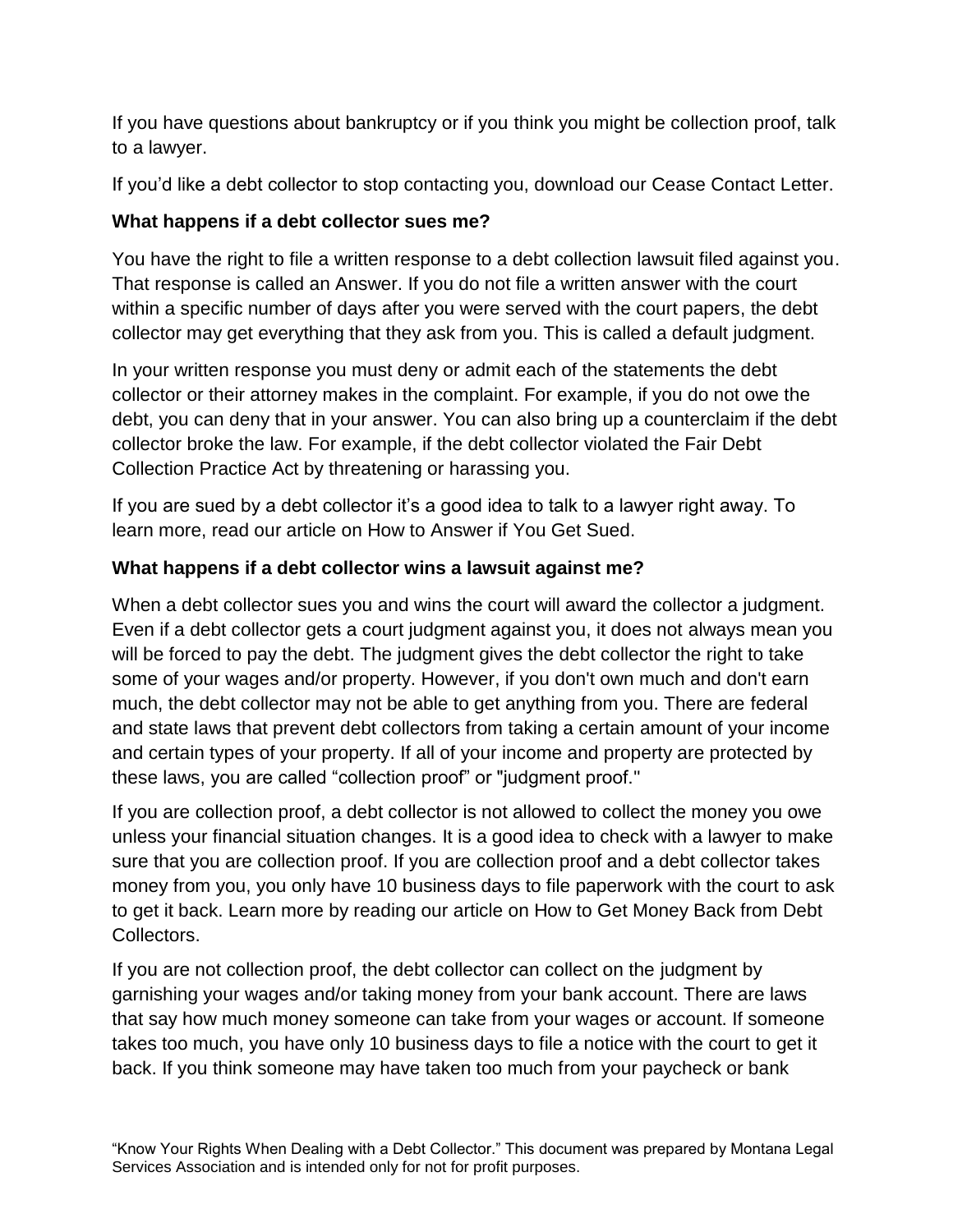If you have questions about bankruptcy or if you think you might be collection proof, talk to a lawyer.

If you'd like a debt collector to stop contacting you, download our Cease Contact Letter.

# **What happens if a debt collector sues me?**

You have the right to file a written response to a debt collection lawsuit filed against you. That response is called an Answer. If you do not file a written answer with the court within a specific number of days after you were served with the court papers, the debt collector may get everything that they ask from you. This is called a default judgment.

In your written response you must deny or admit each of the statements the debt collector or their attorney makes in the complaint. For example, if you do not owe the debt, you can deny that in your answer. You can also bring up a counterclaim if the debt collector broke the law. For example, if the debt collector violated the Fair Debt Collection Practice Act by threatening or harassing you.

If you are sued by a debt collector it's a good idea to talk to a lawyer right away. To learn more, read our article on How to Answer if You Get Sued.

# **What happens if a debt collector wins a lawsuit against me?**

When a debt collector sues you and wins the court will award the collector a judgment. Even if a debt collector gets a court judgment against you, it does not always mean you will be forced to pay the debt. The judgment gives the debt collector the right to take some of your wages and/or property. However, if you don't own much and don't earn much, the debt collector may not be able to get anything from you. There are federal and state laws that prevent debt collectors from taking a certain amount of your income and certain types of your property. If all of your income and property are protected by these laws, you are called "collection proof" or "judgment proof."

If you are collection proof, a debt collector is not allowed to collect the money you owe unless your financial situation changes. It is a good idea to check with a lawyer to make sure that you are collection proof. If you are collection proof and a debt collector takes money from you, you only have 10 business days to file paperwork with the court to ask to get it back. Learn more by reading our article on How to Get Money Back from Debt Collectors.

If you are not collection proof, the debt collector can collect on the judgment by garnishing your wages and/or taking money from your bank account. There are laws that say how much money someone can take from your wages or account. If someone takes too much, you have only 10 business days to file a notice with the court to get it back. If you think someone may have taken too much from your paycheck or bank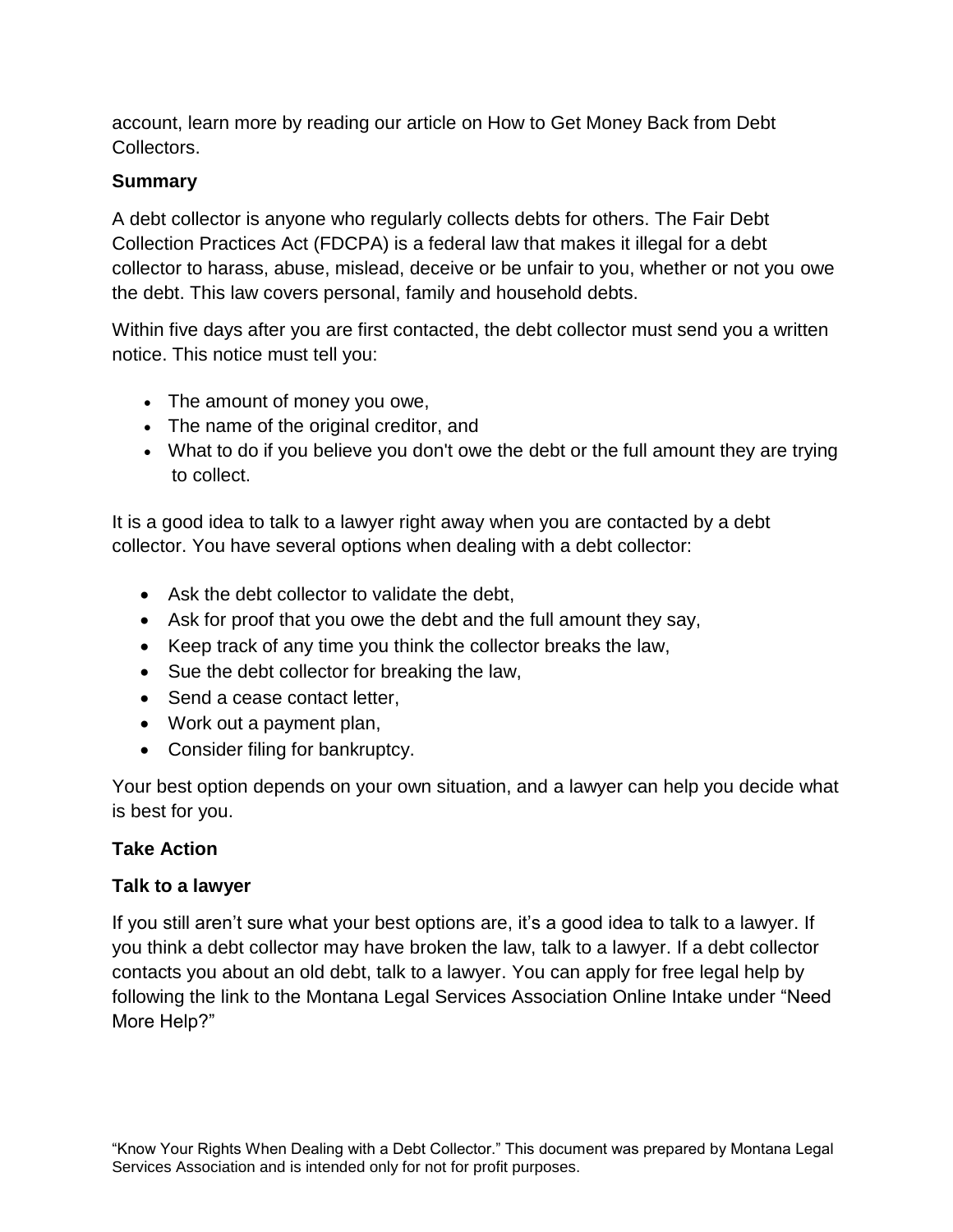account, learn more by reading our article on How to Get Money Back from Debt Collectors.

### **Summary**

A debt collector is anyone who regularly collects debts for others. The Fair Debt Collection Practices Act (FDCPA) is a federal law that makes it illegal for a debt collector to harass, abuse, mislead, deceive or be unfair to you, whether or not you owe the debt. This law covers personal, family and household debts.

Within five days after you are first contacted, the debt collector must send you a written notice. This notice must tell you:

- The amount of money you owe,
- The name of the original creditor, and
- What to do if you believe you don't owe the debt or the full amount they are trying to collect.

It is a good idea to talk to a lawyer right away when you are contacted by a debt collector. You have several options when dealing with a debt collector:

- Ask the debt collector to validate the debt,
- Ask for proof that you owe the debt and the full amount they say,
- Keep track of any time you think the collector breaks the law,
- Sue the debt collector for breaking the law,
- Send a cease contact letter,
- Work out a payment plan,
- Consider filing for bankruptcy.

Your best option depends on your own situation, and a lawyer can help you decide what is best for you.

### **Take Action**

### **Talk to a lawyer**

If you still aren't sure what your best options are, it's a good idea to talk to a lawyer. If you think a debt collector may have broken the law, talk to a lawyer. If a debt collector contacts you about an old debt, talk to a lawyer. You can apply for free legal help by following the link to the Montana Legal Services Association Online Intake under "Need More Help?"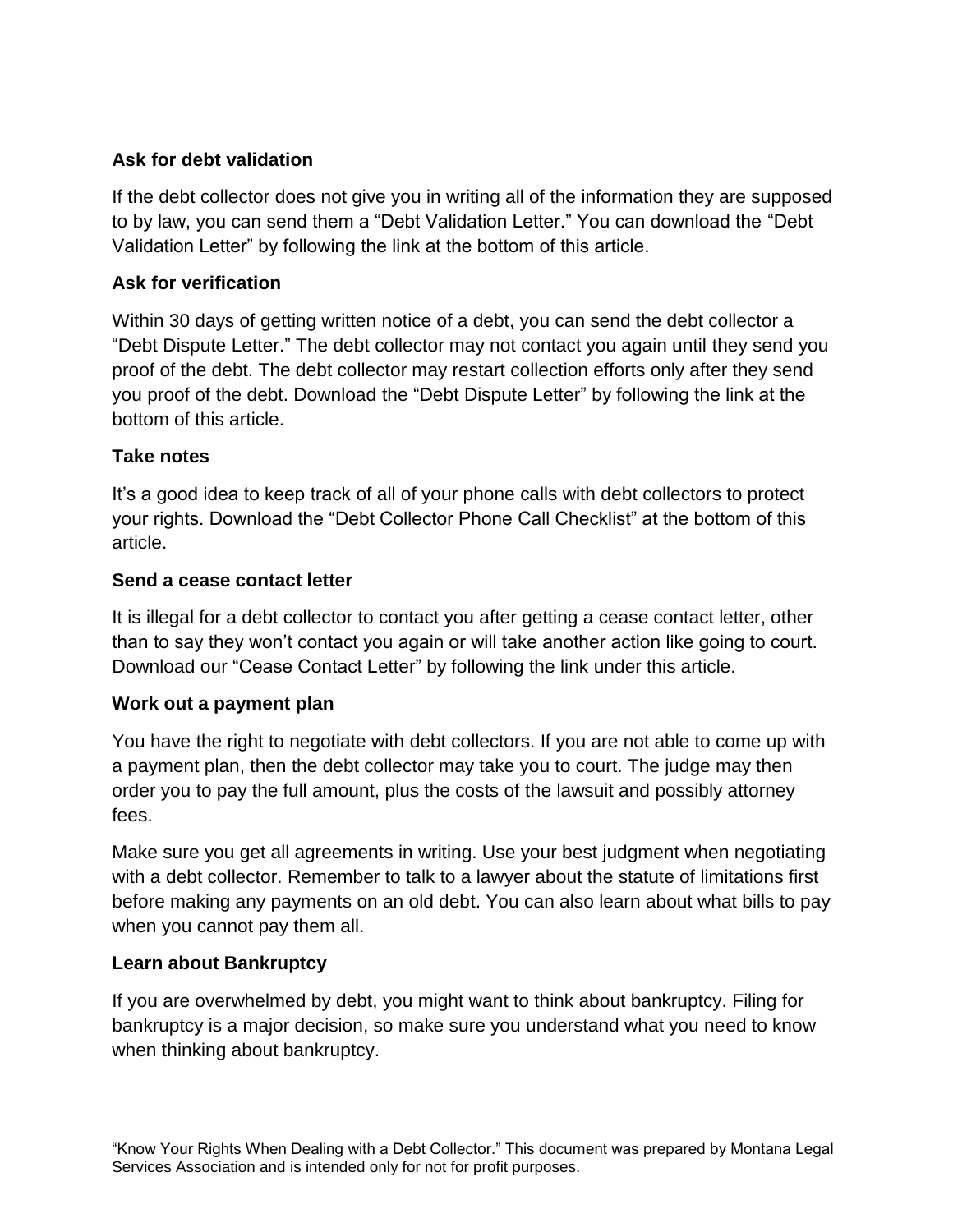### **Ask for debt validation**

If the debt collector does not give you in writing all of the information they are supposed to by law, you can send them a "Debt Validation Letter." You can download the "Debt Validation Letter" by following the link at the bottom of this article.

### **Ask for verification**

Within 30 days of getting written notice of a debt, you can send the debt collector a "Debt Dispute Letter." The debt collector may not contact you again until they send you proof of the debt. The debt collector may restart collection efforts only after they send you proof of the debt. Download the "Debt Dispute Letter" by following the link at the bottom of this article.

### **Take notes**

It's a good idea to keep track of all of your phone calls with debt collectors to protect your rights. Download the "Debt Collector Phone Call Checklist" at the bottom of this article.

### **Send a cease contact letter**

It is illegal for a debt collector to contact you after getting a cease contact letter, other than to say they won't contact you again or will take another action like going to court. Download our "Cease Contact Letter" by following the link under this article.

### **Work out a payment plan**

You have the right to negotiate with debt collectors. If you are not able to come up with a payment plan, then the debt collector may take you to court. The judge may then order you to pay the full amount, plus the costs of the lawsuit and possibly attorney fees.

Make sure you get all agreements in writing. Use your best judgment when negotiating with a debt collector. Remember to talk to a lawyer about the statute of limitations first before making any payments on an old debt. You can also learn about what bills to pay when you cannot pay them all.

# **Learn about Bankruptcy**

If you are overwhelmed by debt, you might want to think about bankruptcy. Filing for bankruptcy is a major decision, so make sure you understand what you need to know when thinking about bankruptcy.